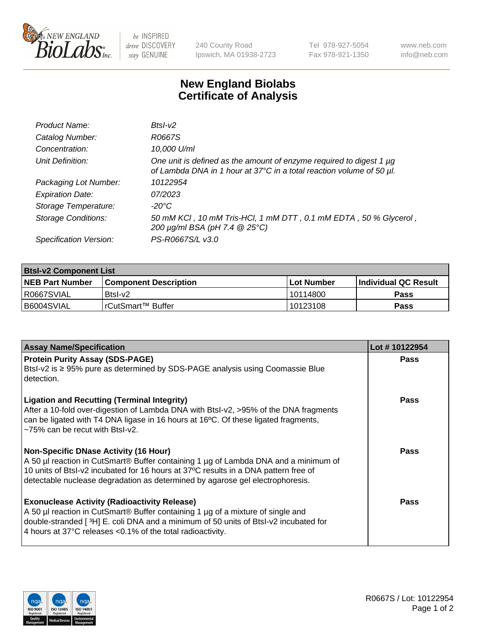

be INSPIRED drive DISCOVERY stay GENUINE

240 County Road Ipswich, MA 01938-2723 Tel 978-927-5054 Fax 978-921-1350 www.neb.com info@neb.com

## **New England Biolabs Certificate of Analysis**

| Product Name:              | $BtsI-V2$                                                                                                                                   |
|----------------------------|---------------------------------------------------------------------------------------------------------------------------------------------|
| Catalog Number:            | R0667S                                                                                                                                      |
| Concentration:             | 10,000 U/ml                                                                                                                                 |
| Unit Definition:           | One unit is defined as the amount of enzyme required to digest 1 µg<br>of Lambda DNA in 1 hour at 37°C in a total reaction volume of 50 µl. |
| Packaging Lot Number:      | 10122954                                                                                                                                    |
| <b>Expiration Date:</b>    | 07/2023                                                                                                                                     |
| Storage Temperature:       | -20°C                                                                                                                                       |
| <b>Storage Conditions:</b> | 50 mM KCI, 10 mM Tris-HCI, 1 mM DTT, 0.1 mM EDTA, 50 % Glycerol,<br>200 μg/ml BSA (pH 7.4 @ 25°C)                                           |
| Specification Version:     | PS-R0667S/L v3.0                                                                                                                            |

| <b>Btsl-v2 Component List</b> |                         |              |                             |  |  |
|-------------------------------|-------------------------|--------------|-----------------------------|--|--|
| <b>NEB Part Number</b>        | l Component Description | l Lot Number | <b>Individual QC Result</b> |  |  |
| I R0667SVIAL                  | Btsl-v2                 | 10114800     | Pass                        |  |  |
| I B6004SVIAL                  | I rCutSmart™ Buffer_    | 10123108     | Pass                        |  |  |

| <b>Assay Name/Specification</b>                                                                                                                                                                                                                                                                             | Lot #10122954 |
|-------------------------------------------------------------------------------------------------------------------------------------------------------------------------------------------------------------------------------------------------------------------------------------------------------------|---------------|
| <b>Protein Purity Assay (SDS-PAGE)</b><br>Btsl-v2 is ≥ 95% pure as determined by SDS-PAGE analysis using Coomassie Blue<br>detection.                                                                                                                                                                       | <b>Pass</b>   |
| <b>Ligation and Recutting (Terminal Integrity)</b><br>After a 10-fold over-digestion of Lambda DNA with Btsl-v2, >95% of the DNA fragments<br>can be ligated with T4 DNA ligase in 16 hours at 16°C. Of these ligated fragments,<br>$\approx$ 75% can be recut with BtsI-v2.                                | <b>Pass</b>   |
| <b>Non-Specific DNase Activity (16 Hour)</b><br>A 50 µl reaction in CutSmart® Buffer containing 1 µg of Lambda DNA and a minimum of<br>10 units of BtsI-v2 incubated for 16 hours at 37°C results in a DNA pattern free of<br>detectable nuclease degradation as determined by agarose gel electrophoresis. | <b>Pass</b>   |
| <b>Exonuclease Activity (Radioactivity Release)</b><br>A 50 µl reaction in CutSmart® Buffer containing 1 µg of a mixture of single and<br>double-stranded [3H] E. coli DNA and a minimum of 50 units of BtsI-v2 incubated for<br>4 hours at 37°C releases <0.1% of the total radioactivity.                 | Pass          |